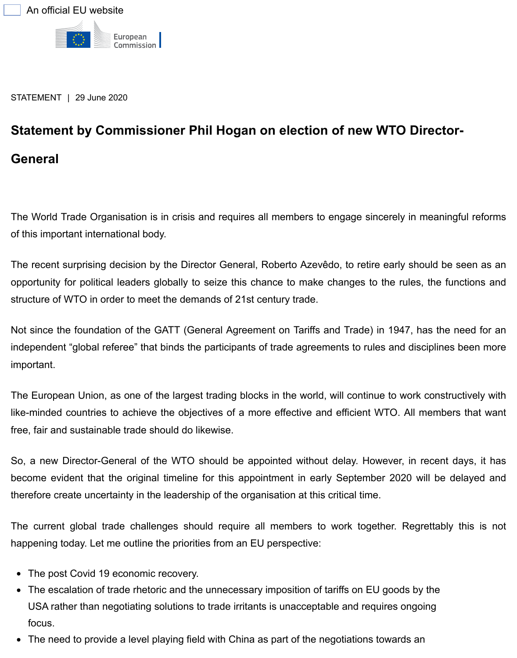## **[Statement by Commissioner Phil H](https://ec.europa.eu/info/index_en)ogan on election of new WTO Dired General**

The World Trade Organisation is in crisis and requires all members to engage sincerely in mea of this important international body.

The recent surprising decision by the Director General, Roberto Azevêdo, to retire early should opportunity for political leaders globally to seize this chance to make changes to the rules, the structure of WTO in order to meet the demands of 21st century trade.

Not since the foundation of the GATT (General Agreement on Tariffs and Trade) in 1947, has the need for angle for an independent "global referee" that binds the participants of trade agreements to rules and discipli important.

The European Union, as one of the largest trading blocks in the world, will continue to work con like-minded countries to achieve the objectives of a more effective and efficient WTO. All mem free, fair and sustainable trade should do likewise.

So, a new Director-General of the WTO should be appointed without delay. However, in rece become evident that the original timeline for this appointment in early September 2020 will b therefore create uncertainty in the leadership of the organisation at this critical time.

The current global trade challenges should require all members to work together. Regretta happening today. Let me outline the priorities from an EU perspective:

- The post Covid 19 economic recovery.
- The escalation of trade rhetoric and the unnecessary imposition of tariffs on EU goods by the USA rather than negotiating solutions to trade irritants is unacceptable and requires ongoing focus.
- The need to provide a level playing field with China as part of the negotiations towards an